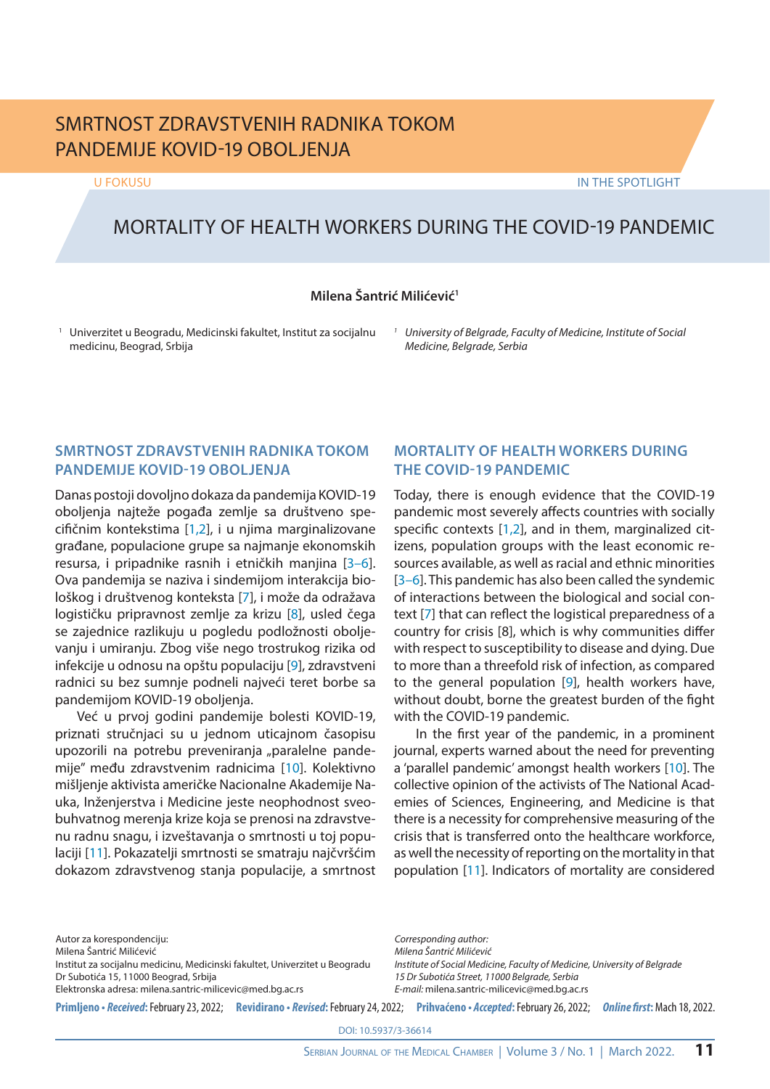# SMRTNOST ZDRAVSTVENIH RADNIKA TOKOM PANDEMIJE KOVID-19 OBOLJENJA

U FOKUSU IN THE SPOTLIGHT

# MORTALITY OF HEALTH WORKERS DURING THE COVID-19 PANDEMIC

### **Milena Šantrić Milićević1**

<sup>1</sup> Univerzitet u Beogradu, Medicinski fakultet, Institut za socijalnu medicinu, Beograd, Srbija

*<sup>1</sup> University of Belgrade, Faculty of Medicine, Institute of Social Medicine, Belgrade, Serbia*

## **SMRTNOST ZDRAVSTVENIH RADNIKA TOKOM PANDEMIJE KOVID-19 OBOLJENJA**

Danas postoji dovoljno dokaza da pandemija KOVID-19 oboljenja najteže pogađa zemlje sa društveno specifičnim kontekstima [1,2], i u njima marginalizovane građane, populacione grupe sa najmanje ekonomskih resursa, i pripadnike rasnih i etničkih manjina [3–6]. Ova pandemija se naziva i sindemijom interakcija biološkog i društvenog konteksta [7], i može da odražava logističku pripravnost zemlje za krizu [8], usled čega se zajednice razlikuju u pogledu podložnosti oboljevanju i umiranju. Zbog više nego trostrukog rizika od infekcije u odnosu na opštu populaciju [9], zdravstveni radnici su bez sumnje podneli najveći teret borbe sa pandemijom KOVID-19 oboljenja.

Već u prvoj godini pandemije bolesti KOVID-19, priznati stručnjaci su u jednom uticajnom časopisu upozorili na potrebu preveniranja "paralelne pandemije" među zdravstvenim radnicima [10]. Kolektivno mišljenje aktivista američke Nacionalne Akademije Nauka, Inženjerstva i Medicine jeste neophodnost sveobuhvatnog merenja krize koja se prenosi na zdravstvenu radnu snagu, i izveštavanja o smrtnosti u toj populaciji [11]. Pokazatelji smrtnosti se smatraju najčvršćim dokazom zdravstvenog stanja populacije, a smrtnost

# **MORTALITY OF HEALTH WORKERS DURING THE COVID-19 PANDEMIC**

Today, there is enough evidence that the COVID-19 pandemic most severely affects countries with socially specific contexts [1,2], and in them, marginalized citizens, population groups with the least economic resources available, as well as racial and ethnic minorities [3–6]. This pandemic has also been called the syndemic of interactions between the biological and social context [7] that can reflect the logistical preparedness of a country for crisis [8], which is why communities differ with respect to susceptibility to disease and dying. Due to more than a threefold risk of infection, as compared to the general population [9], health workers have, without doubt, borne the greatest burden of the fight with the COVID-19 pandemic.

In the first year of the pandemic, in a prominent journal, experts warned about the need for preventing a 'parallel pandemic' amongst health workers [10]. The collective opinion of the activists of The National Academies of Sciences, Engineering, and Medicine is that there is a necessity for comprehensive measuring of the crisis that is transferred onto the healthcare workforce, as well the necessity of reporting on the mortality in that population [11]. Indicators of mortality are considered

Autor za korespondenciju:

Milena Šantrić Milićević

Institut za socijalnu medicinu, Medicinski fakultet, Univerzitet u Beogradu Dr Subotića 15, 11000 Beograd, Srbija

Elektronska adresa: milena.santric-milicevic@med.bg.ac.rs

*Corresponding author: Milena Šantrić Milićević Institute of Social Medicine, Faculty of Medicine, University of Belgrade 15 Dr Subotića Street, 11000 Belgrade, Serbia E-mail:* milena.santric-milicevic@med.bg.ac.rs

Primljeno • Received: February 23, 2022; Revidirano • Revised: February 24, 2022; Prihvaćeno • Accepted: February 26, 2022; Online first: Mach 18, 2022.

DOI: 10.5937/3-36614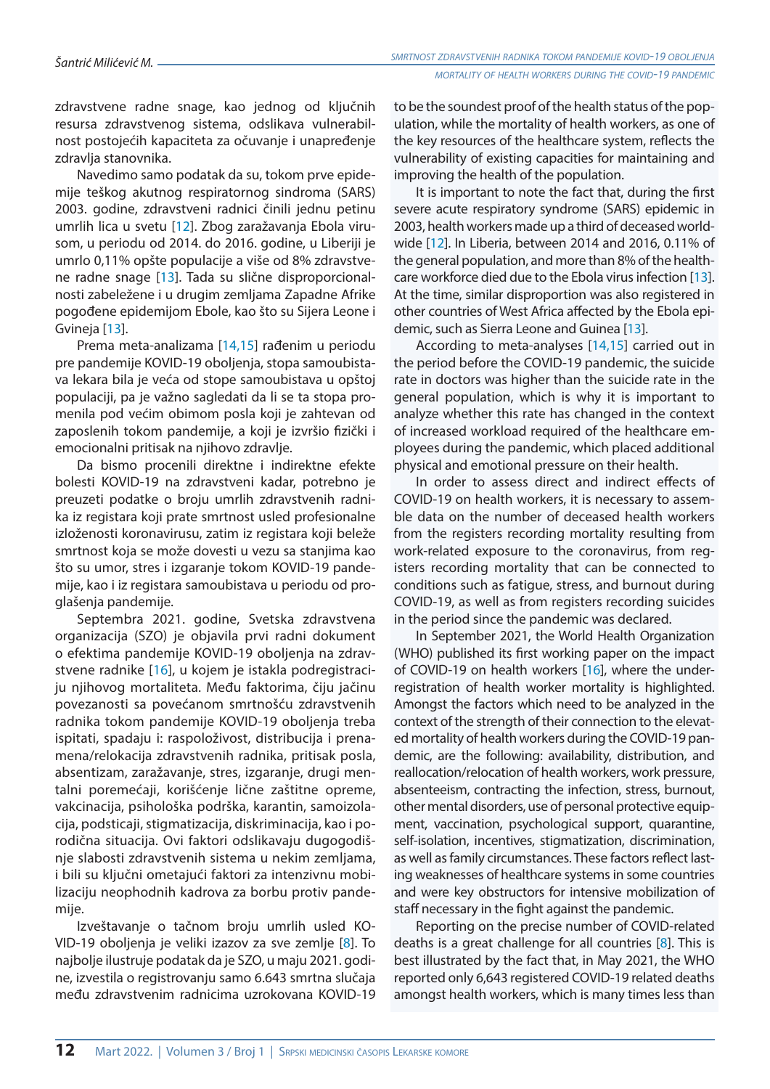zdravstvene radne snage, kao jednog od ključnih resursa zdravstvenog sistema, odslikava vulnerabilnost postojećih kapaciteta za očuvanje i unapređenje zdravlja stanovnika.

Navedimo samo podatak da su, tokom prve epidemije teškog akutnog respiratornog sindroma (SARS) 2003. godine, zdravstveni radnici činili jednu petinu umrlih lica u svetu [12]. Zbog zaražavanja Ebola virusom, u periodu od 2014. do 2016. godine, u Liberiji je umrlo 0,11% opšte populacije a više od 8% zdravstvene radne snage [13]. Tada su slične disproporcionalnosti zabeležene i u drugim zemljama Zapadne Afrike pogođene epidemijom Ebole, kao što su Sijera Leone i Gvineja [13].

Prema meta-analizama [14,15] rađenim u periodu pre pandemije KOVID-19 oboljenja, stopa samoubistava lekara bila je veća od stope samoubistava u opštoj populaciji, pa je važno sagledati da li se ta stopa promenila pod većim obimom posla koji je zahtevan od zaposlenih tokom pandemije, a koji je izvršio fizički i emocionalni pritisak na njihovo zdravlje.

Da bismo procenili direktne i indirektne efekte bolesti KOVID-19 na zdravstveni kadar, potrebno je preuzeti podatke o broju umrlih zdravstvenih radnika iz registara koji prate smrtnost usled profesionalne izloženosti koronavirusu, zatim iz registara koji beleže smrtnost koja se može dovesti u vezu sa stanjima kao što su umor, stres i izgaranje tokom KOVID-19 pandemije, kao i iz registara samoubistava u periodu od proglašenja pandemije.

Septembra 2021. godine, Svetska zdravstvena organizacija (SZO) je objavila prvi radni dokument o efektima pandemije KOVID-19 oboljenja na zdravstvene radnike [16], u kojem je istakla podregistraciju njihovog mortaliteta. Među faktorima, čiju jačinu povezanosti sa povećanom smrtnošću zdravstvenih radnika tokom pandemije KOVID-19 oboljenja treba ispitati, spadaju i: raspoloživost, distribucija i prenamena/relokacija zdravstvenih radnika, pritisak posla, absentizam, zaražavanje, stres, izgaranje, drugi mentalni poremećaji, korišćenje lične zaštitne opreme, vakcinacija, psihološka podrška, karantin, samoizolacija, podsticaji, stigmatizacija, diskriminacija, kao i porodična situacija. Ovi faktori odslikavaju dugogodišnje slabosti zdravstvenih sistema u nekim zemljama, i bili su ključni ometajući faktori za intenzivnu mobilizaciju neophodnih kadrova za borbu protiv pandemije.

Izveštavanje o tačnom broju umrlih usled KO-VID-19 oboljenja je veliki izazov za sve zemlje [8]. To najbolje ilustruje podatak da je SZO, u maju 2021. godine, izvestila o registrovanju samo 6.643 smrtna slučaja među zdravstvenim radnicima uzrokovana KOVID-19 to be the soundest proof of the health status of the population, while the mortality of health workers, as one of the key resources of the healthcare system, reflects the vulnerability of existing capacities for maintaining and improving the health of the population.

It is important to note the fact that, during the first severe acute respiratory syndrome (SARS) epidemic in 2003, health workers made up a third of deceased worldwide [12]. In Liberia, between 2014 and 2016, 0.11% of the general population, and more than 8% of the healthcare workforce died due to the Ebola virus infection [13]. At the time, similar disproportion was also registered in other countries of West Africa affected by the Ebola epidemic, such as Sierra Leone and Guinea [13].

According to meta-analyses [14,15] carried out in the period before the COVID-19 pandemic, the suicide rate in doctors was higher than the suicide rate in the general population, which is why it is important to analyze whether this rate has changed in the context of increased workload required of the healthcare employees during the pandemic, which placed additional physical and emotional pressure on their health.

In order to assess direct and indirect effects of COVID-19 on health workers, it is necessary to assemble data on the number of deceased health workers from the registers recording mortality resulting from work-related exposure to the coronavirus, from registers recording mortality that can be connected to conditions such as fatigue, stress, and burnout during COVID-19, as well as from registers recording suicides in the period since the pandemic was declared.

In September 2021, the World Health Organization (WHO) published its first working paper on the impact of COVID-19 on health workers [16], where the underregistration of health worker mortality is highlighted. Amongst the factors which need to be analyzed in the context of the strength of their connection to the elevated mortality of health workers during the COVID-19 pandemic, are the following: availability, distribution, and reallocation/relocation of health workers, work pressure, absenteeism, contracting the infection, stress, burnout, other mental disorders, use of personal protective equipment, vaccination, psychological support, quarantine, self-isolation, incentives, stigmatization, discrimination, as well as family circumstances. These factors reflect lasting weaknesses of healthcare systems in some countries and were key obstructors for intensive mobilization of staff necessary in the fight against the pandemic.

Reporting on the precise number of COVID-related deaths is a great challenge for all countries [8]. This is best illustrated by the fact that, in May 2021, the WHO reported only 6,643 registered COVID-19 related deaths amongst health workers, which is many times less than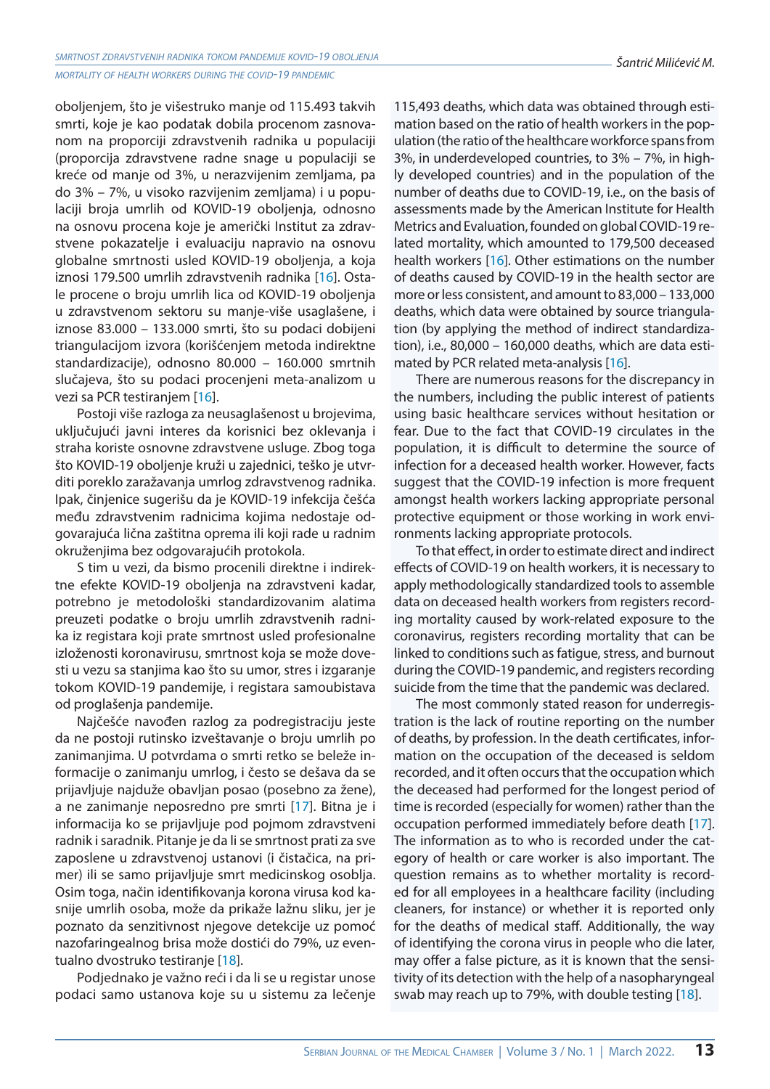*mortality of health workers during the covid-19 pandemic*

oboljenjem, što je višestruko manje od 115.493 takvih smrti, koje je kao podatak dobila procenom zasnovanom na proporciji zdravstvenih radnika u populaciji (proporcija zdravstvene radne snage u populaciji se kreće od manje od 3%, u nerazvijenim zemljama, pa do 3% – 7%, u visoko razvijenim zemljama) i u populaciji broja umrlih od KOVID-19 oboljenja, odnosno na osnovu procena koje je američki Institut za zdravstvene pokazatelje i evaluaciju napravio na osnovu globalne smrtnosti usled KOVID-19 oboljenja, a koja iznosi 179.500 umrlih zdravstvenih radnika [16]. Ostale procene o broju umrlih lica od KOVID-19 oboljenja u zdravstvenom sektoru su manje-više usaglašene, i iznose 83.000 – 133.000 smrti, što su podaci dobijeni triangulacijom izvora (korišćenjem metoda indirektne standardizacije), odnosno 80.000 – 160.000 smrtnih slučajeva, što su podaci procenjeni meta-analizom u vezi sa PCR testiranjem [16].

Postoji više razloga za neusaglašenost u brojevima, uključujući javni interes da korisnici bez oklevanja i straha koriste osnovne zdravstvene usluge. Zbog toga što KOVID-19 oboljenje kruži u zajednici, teško je utvrditi poreklo zaražavanja umrlog zdravstvenog radnika. Ipak, činjenice sugerišu da je KOVID-19 infekcija češća među zdravstvenim radnicima kojima nedostaje odgovarajuća lična zaštitna oprema ili koji rade u radnim okruženjima bez odgovarajućih protokola.

S tim u vezi, da bismo procenili direktne i indirektne efekte KOVID-19 oboljenja na zdravstveni kadar, potrebno je metodološki standardizovanim alatima preuzeti podatke o broju umrlih zdravstvenih radnika iz registara koji prate smrtnost usled profesionalne izloženosti koronavirusu, smrtnost koja se može dovesti u vezu sa stanjima kao što su umor, stres i izgaranje tokom KOVID-19 pandemije, i registara samoubistava od proglašenja pandemije.

Najčešće navođen razlog za podregistraciju jeste da ne postoji rutinsko izveštavanje o broju umrlih po zanimanjima. U potvrdama o smrti retko se beleže informacije o zanimanju umrlog, i često se dešava da se prijavljuje najduže obavljan posao (posebno za žene), a ne zanimanje neposredno pre smrti [17]. Bitna je i informacija ko se prijavljuje pod pojmom zdravstveni radnik i saradnik. Pitanje je da li se smrtnost prati za sve zaposlene u zdravstvenoj ustanovi (i čistačica, na primer) ili se samo prijavljuje smrt medicinskog osoblja. Osim toga, način identifikovanja korona virusa kod kasnije umrlih osoba, može da prikaže lažnu sliku, jer je poznato da senzitivnost njegove detekcije uz pomoć nazofaringealnog brisa može dostići do 79%, uz eventualno dvostruko testiranje [18].

Podjednako je važno reći i da li se u registar unose podaci samo ustanova koje su u sistemu za lečenje

115,493 deaths, which data was obtained through estimation based on the ratio of health workers in the population (the ratio of the healthcare workforce spans from 3%, in underdeveloped countries, to 3% – 7%, in highly developed countries) and in the population of the number of deaths due to COVID-19, i.e., on the basis of assessments made by the American Institute for Health Metrics and Evaluation, founded on global COVID-19 related mortality, which amounted to 179,500 deceased health workers [16]. Other estimations on the number of deaths caused by COVID-19 in the health sector are more or less consistent, and amount to 83,000 – 133,000 deaths, which data were obtained by source triangulation (by applying the method of indirect standardization), i.e., 80,000 – 160,000 deaths, which are data estimated by PCR related meta-analysis [16].

There are numerous reasons for the discrepancy in the numbers, including the public interest of patients using basic healthcare services without hesitation or fear. Due to the fact that COVID-19 circulates in the population, it is difficult to determine the source of infection for a deceased health worker. However, facts suggest that the COVID-19 infection is more frequent amongst health workers lacking appropriate personal protective equipment or those working in work environments lacking appropriate protocols.

To that effect, in order to estimate direct and indirect effects of COVID-19 on health workers, it is necessary to apply methodologically standardized tools to assemble data on deceased health workers from registers recording mortality caused by work-related exposure to the coronavirus, registers recording mortality that can be linked to conditions such as fatigue, stress, and burnout during the COVID-19 pandemic, and registers recording suicide from the time that the pandemic was declared.

The most commonly stated reason for underregistration is the lack of routine reporting on the number of deaths, by profession. In the death certificates, information on the occupation of the deceased is seldom recorded, and it often occurs that the occupation which the deceased had performed for the longest period of time is recorded (especially for women) rather than the occupation performed immediately before death [17]. The information as to who is recorded under the category of health or care worker is also important. The question remains as to whether mortality is recorded for all employees in a healthcare facility (including cleaners, for instance) or whether it is reported only for the deaths of medical staff. Additionally, the way of identifying the corona virus in people who die later, may offer a false picture, as it is known that the sensitivity of its detection with the help of a nasopharyngeal swab may reach up to 79%, with double testing [18].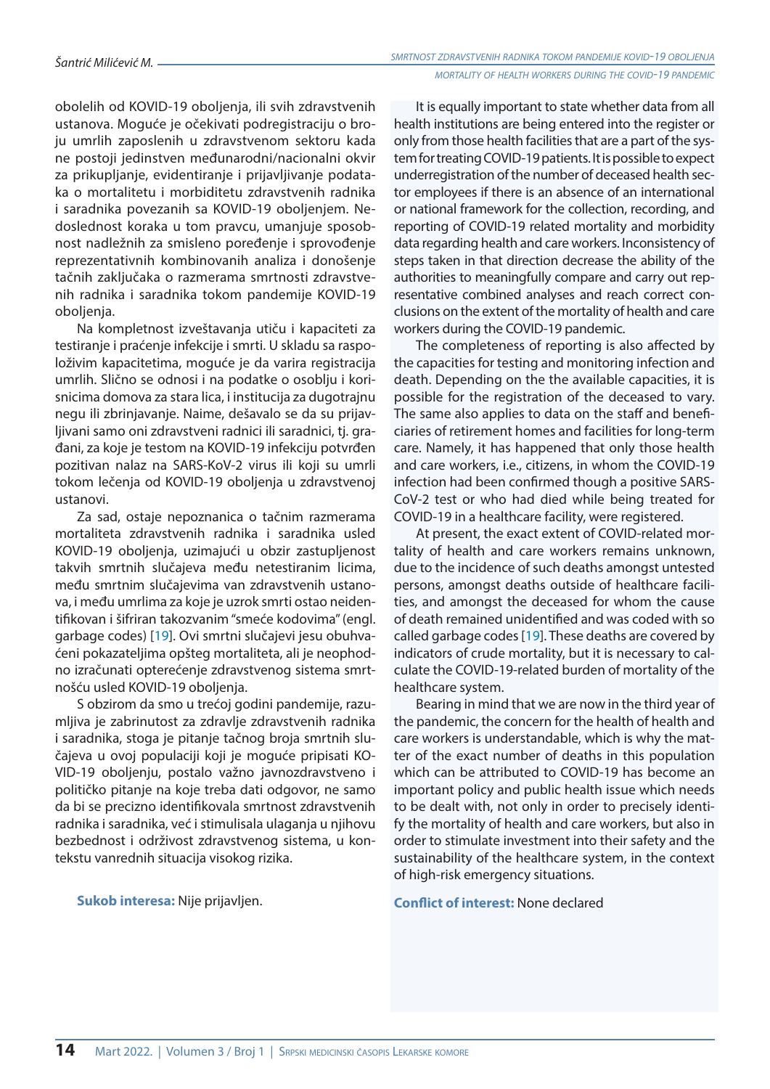obolelih od KOVID-19 oboljenja, ili svih zdravstvenih ustanova. Moguće je očekivati podregistraciju o broju umrlih zaposlenih u zdravstvenom sektoru kada ne postoji jedinstven međunarodni/nacionalni okvir za prikupljanje, evidentiranje i prijavljivanje podataka o mortalitetu i morbiditetu zdravstvenih radnika i saradnika povezanih sa KOVID-19 oboljenjem. Nedoslednost koraka u tom pravcu, umanjuje sposobnost nadležnih za smisleno poređenje i sprovođenje reprezentativnih kombinovanih analiza i donošenje tačnih zaključaka o razmerama smrtnosti zdravstvenih radnika i saradnika tokom pandemije KOVID-19 obolienia.

Na kompletnost izveštavanja utiču i kapaciteti za testiranje i praćenje infekcije i smrti. U skladu sa raspoloživim kapacitetima, moguće je da varira registracija umrlih. Slično se odnosi i na podatke o osoblju i korisnicima domova za stara lica, i institucija za dugotrajnu negu ili zbrinjavanje. Naime, dešavalo se da su prijavljivani samo oni zdravstveni radnici ili saradnici, tj. građani, za koje je testom na KOVID-19 infekciju potvrđen pozitivan nalaz na SARS-KoV-2 virus ili koji su umrli tokom lečenja od KOVID-19 oboljenja u zdravstvenoj ustanovi.

Za sad, ostaje nepoznanica o tačnim razmerama mortaliteta zdravstvenih radnika i saradnika usled KOVID-19 oboljenja, uzimajući u obzir zastupljenost takvih smrtnih slučajeva među netestiranim licima, među smrtnim slučajevima van zdravstvenih ustanova, i među umrlima za koje je uzrok smrti ostao neidentifikovan i šifriran takozvanim "smeće kodovima" (engl. garbage codes) [19]. Ovi smrtni slučajevi jesu obuhvaćeni pokazateljima opšteg mortaliteta, ali je neophodno izračunati opterećenje zdravstvenog sistema smrtnošću usled KOVID-19 oboljenja.

S obzirom da smo u trećoj godini pandemije, razumljiva je zabrinutost za zdravlje zdravstvenih radnika i saradnika, stoga je pitanje tačnog broja smrtnih slučajeva u ovoj populaciji koji je moguće pripisati KO-VID-19 oboljenju, postalo važno javnozdravstveno i političko pitanje na koje treba dati odgovor, ne samo da bi se precizno identifikovala smrtnost zdravstvenih radnika i saradnika, već i stimulisala ulaganja u njihovu bezbednost i održivost zdravstvenog sistema, u kontekstu vanrednih situacija visokog rizika.

**Sukob interesa:** Nije prijavljen.

It is equally important to state whether data from all health institutions are being entered into the register or only from those health facilities that are a part of the system for treating COVID-19 patients. It is possible to expect underregistration of the number of deceased health sector employees if there is an absence of an international or national framework for the collection, recording, and reporting of COVID-19 related mortality and morbidity data regarding health and care workers. Inconsistency of steps taken in that direction decrease the ability of the authorities to meaningfully compare and carry out representative combined analyses and reach correct conclusions on the extent of the mortality of health and care workers during the COVID-19 pandemic.

The completeness of reporting is also affected by the capacities for testing and monitoring infection and death. Depending on the the available capacities, it is possible for the registration of the deceased to vary. The same also applies to data on the staff and beneficiaries of retirement homes and facilities for long-term care. Namely, it has happened that only those health and care workers, i.e., citizens, in whom the COVID-19 infection had been confirmed though a positive SARS-CoV-2 test or who had died while being treated for COVID-19 in a healthcare facility, were registered.

At present, the exact extent of COVID-related mortality of health and care workers remains unknown, due to the incidence of such deaths amongst untested persons, amongst deaths outside of healthcare facilities, and amongst the deceased for whom the cause of death remained unidentified and was coded with so called garbage codes [19]. These deaths are covered by indicators of crude mortality, but it is necessary to calculate the COVID-19-related burden of mortality of the healthcare system.

Bearing in mind that we are now in the third year of the pandemic, the concern for the health of health and care workers is understandable, which is why the matter of the exact number of deaths in this population which can be attributed to COVID-19 has become an important policy and public health issue which needs to be dealt with, not only in order to precisely identify the mortality of health and care workers, but also in order to stimulate investment into their safety and the sustainability of the healthcare system, in the context of high-risk emergency situations.

#### **Conflict of interest:** None declared